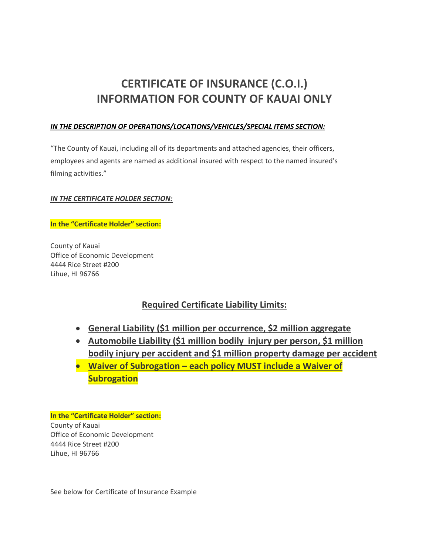# **CERTIFICATE OF INSURANCE (C.O.I.) INFORMATION FOR COUNTY OF KAUAI ONLY**

### *IN THE DESCRIPTION OF OPERATIONS/LOCATIONS/VEHICLES/SPECIAL ITEMS SECTION:*

"The County of Kauai, including all of its departments and attached agencies, their officers, employees and agents are named as additional insured with respect to the named insured's filming activities."

### *IN THE CERTIFICATE HOLDER SECTION:*

#### **In the "Certificate Holder" section:**

County of Kauai Office of Economic Development 4444 Rice Street #200 Lihue, HI 96766

## **Required Certificate Liability Limits:**

- **General Liability (\$1 million per occurrence, \$2 million aggregate**
- **Automobile Liability (\$1 million bodily injury per person, \$1 million bodily injury per accident and \$1 million property damage per accident**
- **Waiver of Subrogation each policy MUST include a Waiver of Subrogation**

**In the "Certificate Holder" section:** County of Kauai Office of Economic Development 4444 Rice Street #200 Lihue, HI 96766

See [below](https://www.kauai.gov/Portals/0/OED/FilmCommission/COI%20Sample%20Film.no.security.pdf?ver=2022-04-05-122716-060) for Certificate of Insurance Example